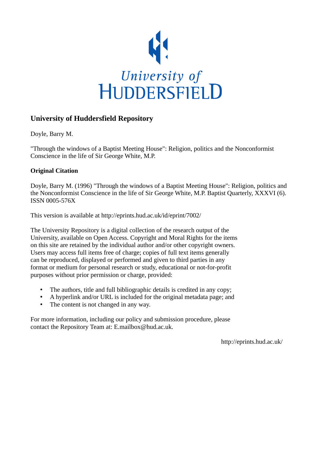

# **University of Huddersfield Repository**

Doyle, Barry M.

"Through the windows of a Baptist Meeting House": Religion, politics and the Nonconformist Conscience in the life of Sir George White, M.P.

## **Original Citation**

Doyle, Barry M. (1996) "Through the windows of a Baptist Meeting House": Religion, politics and the Nonconformist Conscience in the life of Sir George White, M.P. Baptist Quarterly, XXXVI (6). ISSN 0005-576X

This version is available at http://eprints.hud.ac.uk/id/eprint/7002/

The University Repository is a digital collection of the research output of the University, available on Open Access. Copyright and Moral Rights for the items on this site are retained by the individual author and/or other copyright owners. Users may access full items free of charge; copies of full text items generally can be reproduced, displayed or performed and given to third parties in any format or medium for personal research or study, educational or not-for-profit purposes without prior permission or charge, provided:

- The authors, title and full bibliographic details is credited in any copy;
- A hyperlink and/or URL is included for the original metadata page; and
- The content is not changed in any way.

For more information, including our policy and submission procedure, please contact the Repository Team at: E.mailbox@hud.ac.uk.

http://eprints.hud.ac.uk/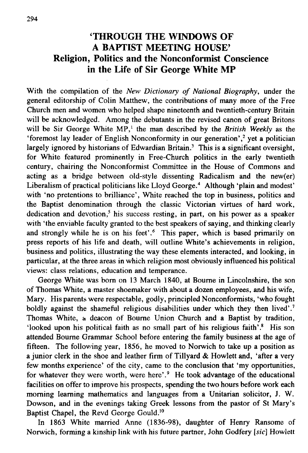### **'THROUGH THE WINDOWS OF A BAPTIST MEETING HOUSE' Religion, Politics and the Nonconfonnist Conscience in the Life of Sir George White MP**

With the compilation of the *New Dictionary of National Biography,* under the general editorship of Colin Matthew, the contributions of many more of the Free Church men and women who helped shape nineteenth and twentieth-century Britain will be acknowledged. Among the debutants in the revised canon of great Britons will be Sir George White MP,<sup>1</sup> the man described by the *British Weekly* as the 'foremost lay leader of English Nonconformity in our generation',<sup>2</sup> yet a politician largely ignored by historians of Edwardian Britain.<sup>3</sup> This is a significant oversight, for White featured prominently in Free-Church politics in the early twentieth century, chairing the Nonconformist Committee in the House of Commons and acting as a bridge between old-style dissenting Radicalism and the new(er) Liberalism of practical politicians like Lloyd George.<sup>4</sup> Although 'plain and modest' with 'no pretentions to brilliance', White reached the top in business, politics and the Baptist denomination through the classic Victorian virtues of hard work, dedication and devotion,<sup>5</sup> his success resting, in part, on his power as a speaker with 'the enviable faculty granted to the best speakers of saying, and thinking clearly and strongly while he is on his feet'.<sup>6</sup> This paper, which is based primarily on press reports of his life and death, will outline White's achievements in religion, business and politics, illustrating the way these elements interacted, and looking, in particular, at the three areas in which religion most obviously influenced his political views: class relations, education and temperance.

George White was born on 13 March 1840, at Bourne in Lincolnshire, the son of Thomas White, a master shoemaker with about a dozen employees, and his wife, Mary. His parents were respectable, godly, principled Nonconformists, 'who fought boldly against the shameful religious disabilities under which they then lived'.<sup>7</sup> Thomas White, a deacon of Bourne Union Church and a Baptist by tradition, 'looked upon his political faith as no small part of his religious faith'.8 His son attended Bourne Grammar School before entering the family business at the age of fifteen. The following year, 1856, he moved to Norwich to take up a position as a junior clerk in the shoe and leather firm of Tillyard & Howlett and, 'after a very few months experience' of the city, came to the conclusion that 'my opportunities, for whatever they were worth, were here'.<sup>9</sup> He took advantage of the educational facilities on offer to improve his prospects, spending the two hours before work each morning learning mathematics and languages from a Unitarian solicitor, J. W. Dowson, and in the evenings taking Greek lessons from the pastor of St Mary's Baptist Chapel, the Revd George Gould.<sup>10</sup>

In 1863 White married Anne (1836-98), daughter of Henry Ransome of Norwich, forming a kinship link with his future partner, John Godfery *[sic]* Howlett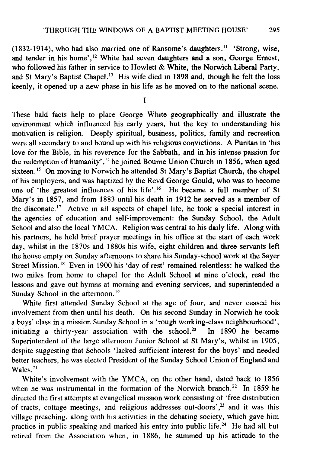(1832-1914), who had also married one of Ransome's daughters.<sup>11</sup> 'Strong, wise, and tender in his home',<sup>12</sup> White had seven daughters and a son, George Ernest, who followed his father in service to Howlett & White, the Norwich Liberal Party, and St Mary's Baptist Chapel.<sup>13</sup> His wife died in 1898 and, though he felt the loss keenly, it opened up a new phase in his life as he moved on to the national scene.

I

These bald facts help to place George White geographically and illustrate the environment which influenced his early years, but the key to understanding his motivation is religion. Deeply spiritual, business, politics, family and recreation were all secondary to and bound up with his religious convictions. A Puritan in 'his love for the Bible, in his reverence for the Sabbath, and in his intense passion for the redemption of humanity',<sup>14</sup> he joined Bourne Union Church in 1856, when aged sixteen.<sup>15</sup> On moving to Norwich he attended St Mary's Baptist Church, the chapel of his employers, and was baptized by the Revd George Gould, who was to become one of 'the greatest influences of his life'.<sup>16</sup> He became a full member of St Mary's in 1857, and from 1883 until his death in 1912 he served as a member of the diaconate.17 Active in all aspects of chapel life, he took a special interest in the agencies of education and self-improvement: the Sunday School, the Adult School and also the local YMCA. Religion was central to his daily life. Along with his partners, he held brief prayer meetings in his office at the start of each work day, whilst in the 1870s and 1880s his wife, eight children and three servants left the house empty on Sunday afternoons to share his Sunday-school work at the Sayer Street Mission.<sup>18</sup> Even in 1900 his 'day of rest' remained relentless: he walked the two miles from home to chapel for the Adult School at nine o'clock, read the lessons and gave out hymns at morning and evening services, and superintended a Sunday School in the afternoon.<sup>19</sup>

White first attended Sunday School at the age of four, and never ceased his involvement from then until his death. On his second Sunday in Norwich he took a boys' class in a mission Sunday School in a 'rough working-class neighbourhood', initiating a thirty-vear association with the school.<sup>20</sup> In 1890 he became initiating a thirty-year association with the school.<sup>20</sup> Superintendent of the large afternoon Junior School at St Mary's, whilst in 1905, despite suggesting that Schools 'lacked sufficient interest for the boys' and needed better teachers, he was elected President of the Sunday School Union of England and Wales.21

White's involvement with the YMCA, on the other hand, dated back to 1856 when he was instrumental in the formation of the Norwich branch.<sup>22</sup> In 1859 he directed the first attempts at evangelical mission work consisting of 'free distribution of tracts, cottage meetings, and religious addresses out-doors',23 and it was this village preaching, along with his activities in the debating society, which gave him practice in public speaking and marked his entry into public life.<sup>24</sup> He had all but retired from the Association when, in 1886, he summed up his attitude to the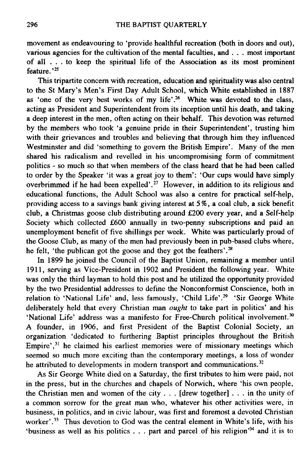movement as endeavouring to 'provide healthful recreation (both in doors and out), various agencies for the cultivation of the mental faculties, and . . . most important of all ... to keep the spiritual life of the Association as its most prominent feature. '25

This tripartite concern with recreation, education and spirituality was also central to the St Mary's Men's First Day Adult School, which White established in 1887 as 'one of the very best works of my life'.<sup>26</sup> White was devoted to the class, acting as President and Superintendent from its inception until his death, and taking a deep interest in the men, often acting on their behalf. This devotion was returned by the members who took 'a genuine pride in their Superintendent', trusting him with their grievances and troubles and believing that through him they influenced Westminster and did 'something to govern the British Empire'. Many of the men shared his radicalism and revelled in his uncompromising form of commitment politics - so much so that when members of the class heard that he had been called to order by the Speaker 'it was a great joy to them': 'Our cups would have simply overbrimmed if he had been expelled'.<sup>27</sup> However, in addition to its religious and educational functions, the Adult School was also a centre for practical self-help, providing access to a savings bank giving interest at 5 %, a coal club, a sick benefit club, a Christmas goose club distributing around £200 every year, and a Self-help Society which collected £600 annually in two-penny subscriptions and paid an unemployment benefit of five shillings per week. White was particularly proud of the Goose Club, as many of the men had previously been in pub-based clubs where, he felt, 'the publican got the goose and they got the feathers'.<sup>28</sup>

In 1899 he joined the Council of the Baptist Union, remaining a member until 1911, serving as Vice-President in 1902 and President the following year. White was only the third layman to hold this post and he utilized the opportunity provided by the two Presidential addresses to define the Nonconformist Conscience, both in relation to 'National Life' and, less famously, 'Child Life'.<sup>29</sup> 'Sir George White deliberately held that every Christian man *ought* to take part in politics' and his 'National Life' address was a manifesto for Free-Church political involvement.<sup>30</sup> A founder, in 1906, and first President of the Baptist Colonial Society, an organization 'dedicated to furthering Baptist principles throughout the British Empire', $31$  he claimed his earliest memories were of missionary meetings which seemed so much more exciting than the contemporary meetings, a loss of wonder he attributed to developments in modern transport and communications.<sup>32</sup>

As Sir George White died on a Saturday, the first tributes to him were paid, not in the press, but in the churches and chapels of Norwich, where 'his own people, the Christian men and women of the city ... [drew together] ... in the unity of a common sorrow for the great man who, whatever his other activities were, in business, in politics, and in civic labour, was first and foremost a devoted Christian worker'.<sup>33</sup> Thus devotion to God was the central element in White's life, with his 'business as well as his politics ... part and parcel of his religion'34 and it is to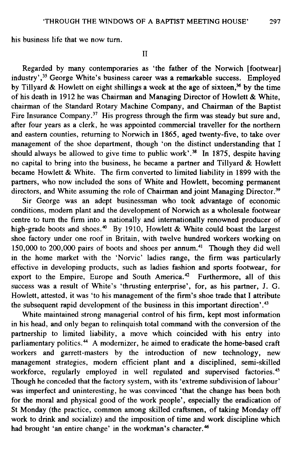his business life that we now tum.

#### II

Regarded by many contemporaries as 'the father of the Norwich [footwear] industry',<sup>35</sup> George White's business career was a remarkable success. Employed by Tillyard & Howlett on eight shillings a week at the age of sixteen.<sup>36</sup> by the time of his death in 1912 he was Chairman and Managing Director of Howlett & White, chairman of the Standard Rotary Machine Company, and Chairman of the Baptist Fire Insurance Company.<sup>37</sup> His progress through the firm was steady but sure and, after four years as a clerk, he was appointed commercial traveller for the northern and eastern counties, returning to Norwich in 1865, aged twenty-five, to take over management of the shoe department, though 'on the distinct understanding that I should always be allowed to give time to public work'.<sup>38</sup> In 1875, despite having no capital to bring into the business, he became a partner and Tillyard & Howlett became Howlett & White. The firm converted to limited liability in 1899 with the partners, who now included the sons of White and Howlett, becoming permanent directors, and White assuming the role of Chairman and joint Managing Director.<sup>39</sup>

Sir George was an adept businessman who took advantage of economic conditions, modem plant and the development of Norwich as a wholesale footwear centre to tum the firm into a nationally and internationally renowned producer of high-grade boots and shoes.<sup>40</sup> By 1910, Howlett & White could boast the largest shoe factory under one roof in Britain, with twelve hundred workers working on 150,000 to 200,000 pairs of boots and shoes per annum.41 Though they did well in the home market with the 'Norvic' ladies range, the firm was particularly effective in developing products, such as ladies fashion and sports footwear, for export to the Empire, Europe and South America.<sup>42</sup> Furthermore, all of this success was a result of White's 'thrusting enterprise', for, as his partner, J. G. Howlett, attested, it was 'to his management of the firm's shoe trade that I attribute the subsequent rapid development of the business in this important direction'. 43

White maintained strong managerial control of his firm, kept most information in his head, and only began to relinquish total command with the conversion of the partnership to limited liability, a move which coincided with his entry into parliamentary politics.<sup>44</sup> A modernizer, he aimed to eradicate the home-based craft workers and garrett-masters by the introduction of new technology, new management strategies, modem efficient plant and a disciplined, semi-skilled workforce, regularly employed in well regulated and supervised factories.<sup>45</sup> Though he conceded that the factory system, with its 'extreme subdivision of labour' was imperfect and uninteresting, he was convinced 'that the change has been both for the moral and physical good of the work people', especially the eradication of St Monday (the practice, common among skilled craftsmen, of taking Monday off work to drink and socialize) and the imposition of time and work discipline which had brought 'an entire change' in the workman's character.<sup>46</sup>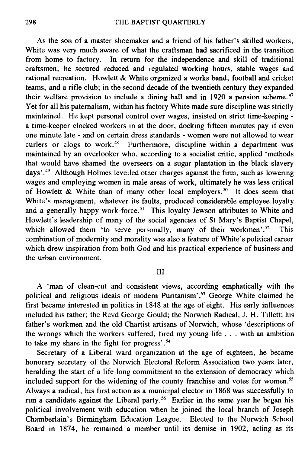As the son of a master shoemaker and a friend of his father's skilled workers, White was very much aware of what the craftsman had sacrificed in the transition from home to factory. In return for the independence and skill of traditional craftsmen, he secured reduced and regulated working hours, stable wages and rational recreation. Howlett & White organized a works band, football and cricket teams, and a rifle club; in the second decade of the twentieth century they expanded their welfare provision to include a dining hall and in 1920 a pension scheme. 47 Yet for all his paternalism, within his factory White made sure discipline was strictly maintained. He kept personal control over wages, insisted on strict time-keeping a time-keeper clocked workers in at the door, docking fifteen minutes pay if even one minute late - and on certain dress standards - women were not allowed to wear curlers or clogs to work.<sup>48</sup> Furthermore, discipline within a department was maintained by an overlooker who, according to a socialist critic, applied 'methods that would have shamed the overseers on a sugar plantation in the black slavery days'.49 Although Holmes levelled other charges against the firm, such as lowering wages and employing women in male areas of work, ultimately he was less critical of Howlett  $\&$  White than of many other local employers.<sup>50</sup> It does seem that White's management, whatever its faults, produced considerable employee loyalty and a generally happy work-force.<sup>51</sup> This loyalty Jewson attributes to White and Howlett's leadership of many of the social agencies of St Mary's Baptist Chapel, which allowed them 'to serve personally, many of their workmen'.<sup>52</sup> This which allowed them 'to serve personally, many of their workmen'.<sup>52</sup> combination of modernity and morality was also a feature of White's political career which drew inspiration from both God and his practical experience of business and the urban environment.

#### III

A 'man of clean-cut and consistent views, according emphatically with the political and religious ideals of modern Puritanism',<sup>53</sup> George White claimed he first became interested in politics in 1848 at the age of eight. His early influences included his father; the Revd George Gould; the Norwich Radical, J. H. Tillett; his father's workmen and the old Chartist artisans of Norwich, whose 'descriptions of the wrongs which the workers suffered, fired my young life ... with an ambition to take my share in the fight for progress'.<sup>54</sup>

Secretary of a Liberal ward organization at the age of eighteen, he became honorary secretary of the Norwich Electoral Reform Association two years later, heralding the start of a life-long commitment to the extension of democracy which included support for the widening of the county franchise and votes for women.<sup>55</sup> Always a radical, his first action as a municipal elector in 1868 was successfully to run a candidate against the Liberal party. 56 Earlier in the same year he began his political involvement with education when he joined the local branch of Joseph Chamberlain's Birmingham Education League. Elected to the Norwich School Board in 1874, he remained a member until its demise in 1902, acting as its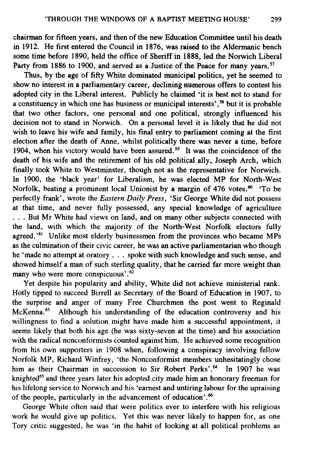chairman for fifteen years, and then of the new Education Committee until his death in 1912, He first entered the Council in 1876, was raised to the Aldermanic bench some time before 1890, held the office of Sheriff in 1888, led the Norwich Liberal Party from 1886 to 1900, and served as a Justice of the Peace for many years.<sup>57</sup>

Thus, by the age of fifty White dominated municipal politics, yet he seemed to show no interest in a parliamentary career, declining numerous offers to contest his adopted city in the Liberal interest. Publicly he claimed 'it is best not to stand for a constituency in which one has business or municipal interests',  $58$  but it is probable that two other factors, one personal and one political, strongly influenced his decision not to stand in Norwich. On a personal level it is likely that he did not wish to leave his wife and family, his final entry to parliament coming at the first election after the death of Anne, whilst politically there was never a time, before 1904, when his victory would have been assured.<sup>59</sup> It was the coincidence of the death of his wife and the retirement of his old political ally, Joseph Arch, which finally took White to Westminster, though not as the representative for Norwich. In 1900, the 'black year' for Liberalism, he was elected MP for North-West Norfolk, beating a prominent local Unionist by a margin of 476 votes.<sup>60</sup> 'To be perfectly frank', wrote the *Eastern Daily Press,* 'Sir George White did not possess at that time, and never fully possessed, any special knowledge of agriculture ... But Mr White had views on land, and on many other subjects connected with the land, with which the majority of the North-West Norfolk electors fulIy agreed.<sup>•61</sup> Unlike most elderly businessmen from the provinces who became MPs as the culmination of their civic career, he was an active parliamentarian who though he 'made no attempt at oratory ... spoke with such knowledge and such sense, and showed himself a man of such sterling quality, that he carried far more weight than many who were more conspicuous'. $62$ 

Yet despite his popularity and ability, White did not achieve ministerial rank. Hotly tipped to succeed Birrell as Secretary of the Board of Education in 1907, to the surprise and anger of many Free Churchmen the post went to Reginald McKenna.<sup>63</sup> Although his understanding of the education controversy and his willingness to find a solution might have made him a successful appointment, it seems likely that both his age (he was sixty-seven at the time) and his association with the radical nonconformists counted against him. He achieved some recognition from his own supporters in 1908 when, following a conspiracy involving fellow Norfolk MP, Richard Winfrey, 'the Nonconformist members unhesitatingly chose him as their Chairman in succession to Sir Robert Perks'.<sup>64</sup> In 1907 he was knighted<sup>65</sup> and three years later his adopted city made him an honorary freeman for his lifelong service to Norwich and his 'earnest and untiring labour for the upraising of the people, particularly in the advancement of education'.<sup>66</sup>

George White often said that were politics ever to interfere with his religious work he would give up politics. Yet this was never likely to happen for, as one Tory critic suggested, he was 'in the habit of looking at all political problems as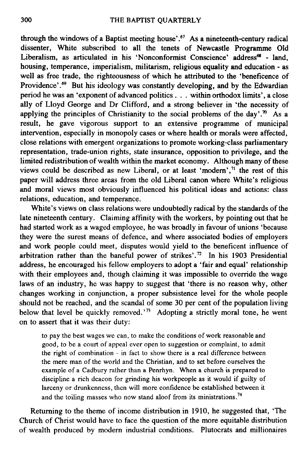through the windows of a Baptist meeting house'.<sup>67</sup> As a nineteenth-century radical dissenter, White subscribed to all the tenets of Newcastle Programme Old Liberalism, as articulated in his 'Nonconformist Conscience' address<sup>68</sup> - land, housing, temperance, imperialism, militarism, religious equality and education - as well as free trade, the righteousness of which he attributed to the 'beneficence of Providence'.<sup>69</sup> But his ideology was constantly developing, and by the Edwardian period he was an 'exponent of advanced politics ... within orthodox limits', a close ally of Lloyd George and Dr Clifford, and a strong believer in 'the necessity of applying the principles of Christianity to the social problems of the day'.<sup>70</sup> As a result, he gave vigorous support to an extensive programme of municipal intervention, especially in monopoly cases or where health or morals were affected, close relations with emergent organizations to promote working-class parliamentary representation, trade-union rights, state insurance, opposition to privilege, and the limited redistribution of wealth within the market economy. Although many of these views could be described as new Liberal, or at least 'modern', $7^{\circ}$  the rest of this paper will address three areas from the old Liberal canon where White's religious and moral views most obviously influenced his political ideas and actions: class relations, education, and temperance.

White's views on class relations were undoubtedly radical by the standards of the late nineteenth century. Claiming affinity with the workers, by pointing out that he had started work as a waged employee, he was broadly in favour of unions 'because they were the surest means of defence, and where associated bodies of employers and work people could meet, disputes would yield to the beneficent influence of arbitration rather than the baneful power of strikes'.<sup>72</sup> In his 1903 Presidential address, he encouraged his fellow employers to adopt a 'fair and equal' relationship with their employees and, though claiming it was impossible to override the wage laws of an industry, he was happy to suggest that 'there is no reason why, other changes working in conjunction, a proper subsistence level for the whole people should not be reached, and the scandal of some 30 per cent of the population living below that level be quickly removed.<sup>73</sup> Adopting a strictly moral tone, he went on to assert that it was their duty:

to pay the best wages we can, to make the conditions of work reasonable and good, to be a court of appeal ever open to suggestion or complaint, to admit the right of combination - in fact to show there is a real difference between the mere man of the world and the Christian, and to set before ourselves the example of a Cadbury rather than a Penrhyn. When a church is prepared to discipline a rich deacon for grinding his workpeople as it would if guilty of larceny or drunkenness, then will more confidence be established between it and the toiling masses who now stand aloof from its ministrations.<sup>74</sup>

Returning to the theme of income distribution in 1910, he suggested that, 'The Church of Christ would have to face the question of the more equitable distribution of wealth produced by modem industrial conditions. Plutocrats and millionaires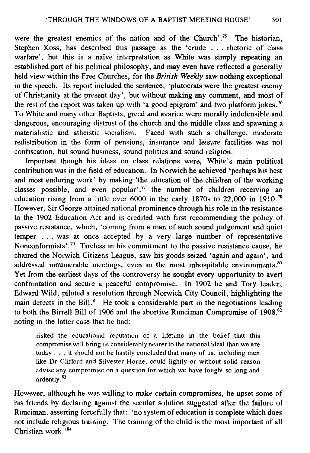were the greatest enemies of the nation and of the Church'.<sup>75</sup> The historian, Stephen Koss, has described this passage as the 'crude ... rhetoric of class warfare', but this is a naive interpretation as White was simply repeating an established part of his political philosophy, and may even have reflected a generally held view within the Free Churches, for the *British Weekly* saw nothing exceptional in the speech. Its report included the sentence, 'plutocrats were the greatest enemy of Christianity at the present day', but without making any comment, and most of the rest of the report was taken up with 'a good epigram' and two platform jokes. To White and many other Baptists, greed and avarice were morally indefensible and dangerous, encouraging distrust of the church and the middle class and spawning a materialistic and atheistic socialism. Faced with such a challenge, moderate redistribution in the form of pensions, insurance and leisure facilities was not confiscation, but sound business, sound politics and sound religion.

Important though his ideas on class relations were, White's main political contribution was in the field of education. In Norwich he achieved 'perhaps his best and most enduring work' by making 'the education of the children of the working classes possible, and even popular',  $\eta$  the number of children receiving an education rising from a little over 6000 in the early 1870s to 22,000 in 1910.<sup>78</sup> However, Sir George attained national prominence through his role in the resistance to the 1902 Education Act and is credited with first recommending the policy of passive resistance, which, 'coming from a man of such sound judgement and quiet temper... was at once accepted by a very large number of representative Nonconformists'.<sup>79</sup> Tireless in his commitment to the passive resistance cause, he chaired the Norwich Citizens League, saw his goods seized 'again and again', and addressed innumerable meetings, even in the most inhospitable environments.<sup>80</sup> Yet from the earliest days of the controversy he sought every opportunity to avert confrontation and secure a peaceful compromise. In 1902 he and Tory leader, Edward Wild, piloted a resolution through Norwich City Council, highlighting the main defects in the Bill.<sup>81</sup> He took a considerable part in the negotiations leading to both the Birrell Bill of 1906 and the abortive Runciman Compromise of 1908, $\frac{82}{3}$ noting in the latter case that he had:

risked the educational reputation of a lifetime in the belief that this compromise will bring us considerably nearer to the national ideal than we are today . . . it should not be hastily concluded that many of us, including men like Dr Clifford and Silvester Horne, could lightly or without solid reason advise any compromise on a question for which we have fought so long and ardently.<sup>83</sup>

However, although he was willing to make certain compromises, he upset some of his friends by declaring against the secular solution suggested after the failure of Runciman, asserting forcefully that: 'no system of education is complete which does not include religious training. The training of the child is the most important of all Christian work.<sup>84</sup>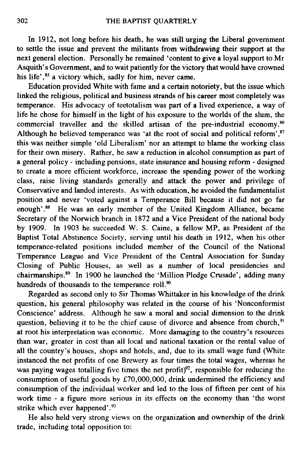In 1912, not long before his death, he was still urging the Liberal government to settle the issue and prevent the militants from withdrawing their support at the next general election. PersonaIly he remained 'content to give a loyal support to Mr Asquith's Government, and to wait patiently for the victory that would have crowned his life',<sup>85</sup> a victory which, sadly for him, never came.

Education provided White with fame and a certain notoriety, but the issue which linked the religious, political and business strands of his career most completely was temperance. His advocacy of teetotalism was part of a lived experience, a way of life he chose for himself in the light of his exposure to the worlds of the slum, the commercial traveller and the skilled artisan of the pre-industrial economy.<sup>86</sup> Although he believed temperance was 'at the root of social and political reform', $87$ this was neither simple 'old Liberalism' nor an attempt to blame the working class for their own misery. Rather, he saw a reduction in alcohol consumption as part of a general policy - including pensions, state insurance and housing reform - designed to create a more efficient workforce, increase the spending power of the working class, raise living standards generaIly and attack the power and privilege of Conservative and landed interests. As with education, he avoided the fundamentalist position and never 'voted against a Temperance BiIl because it did not go far enough'.<sup>88</sup> He was an early member of the United Kingdom Alliance, became Secretary of the Norwich branch in 1872 and a Vice President of the national body by 1909. In 1903 he succeeded W. S. Caine, a feIlow MP, as President of the Baptist Total Abstinence Society, serving until his death in 1912, when his other temperance-related positions included member of the Council of the National Temperance League and Vice President of the Central Association for Sunday Closing of Public Houses, as weIl as a number of local presidencies and chairrnanships.89 In 1900 he launched the 'Million Pledge Crusade', adding many hundreds of thousands to the temperance roll.<sup>90</sup>

Regarded as second only to Sir Thomas Whittaker in his knowledge of the drink question, his general philosophy was related in the course of his 'Nonconformist Conscience' address. Although he saw a moral and social dimension to the drink question, believing it to be the chief cause of divorce and absence from church,<sup>91</sup> at root his interpretation was economic. More damaging to the country's resources than war, greater in cost than all local and national taxation or the rental value of all the country's houses, shops and hotels, and, due to its small wage fund (White instanced the net profits of one Brewery as four times the total wages, whereas he was paying wages totalling five times the net profit)<sup>92</sup>, responsible for reducing the consumption of useful goods by £70,000,000, drink undermined the efficiency and consumption of the individual worker and led to the loss of fifteen per cent of his work time - a figure more serious in its effects on the economy than 'the worst strike which ever happened'.<sup>93</sup>

He also held very strong views on the organization and ownership of the drink trade, including total opposition to: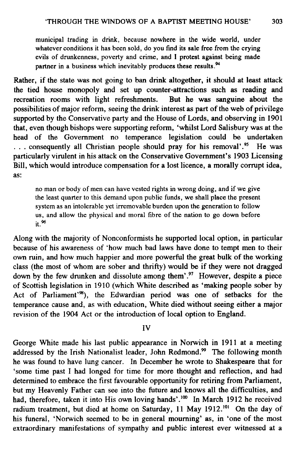municipal trading in drink, because nowhere in the wide world, under whatever conditions it has been sold, do you find its sale free from the crying evils of drunkenness, poverty and crime, and I protest against being made partner in a business which inevitably produces these results.<sup>94</sup>

Rather, if the state was not going to ban drink altogether, it should at least attack the tied house monopoly and set up counter-attractions such as reading and recreation rooms with light refreshments. But he was sanguine about the possibilities of major reform, seeing the drink interest as part of the web of privilege supported by the Conservative party and the House of Lords, and observing in 1901 that, even though bishops were supporting reform, 'whilst Lord Salisbury was at the head of the Government no temperance legislation could be undertaken ... consequently all Christian people should pray for his removal'.<sup>95</sup> He was particularly virulent in his attack on the Conservative Government's 1903 Licensing Bill, which would introduce compensation for a lost licence, a morally corrupt idea, as:

no man or body of men can have vested rights in wrong doing, and if we give the least quarter to this demand upon public funds, we shall place the present system as an intolerable yet irremovable burden upon the generation to follow us, and allow the physical and moral fibre of the nation to go down before it. <sup>96</sup>

Along with the majority of Nonconformists he supported local option, in particular because of his awareness of 'how much bad laws have done to tempt men to their own ruin, and how much happier and more powerful the great bulk of the working class (the most of whom are sober and thrifty) would be if they were not dragged down by the few drunken and dissolute among them'.<sup>97</sup> However, despite a piece of Scottish legislation in 1910 (which White described as 'making people sober by Act of Parliament'<sup>98</sup>), the Edwardian period was one of setbacks for the temperance cause and, as with education, White died without seeing either a major revision of the 1904 Act or the introduction of local option to England.

#### IV

George White made his last public appearance in Norwich in 1911 at a meeting addressed by the Irish Nationalist leader, John Redmond.<sup>99</sup> The following month he was found to have lung cancer. In December he wrote to Shakespeare that for 'some time past I had longed for time for more thought and reflection, and had determined to embrace the first favourable opportunity for retiring from Parliament, but my Heavenly Father can see into the future and knows all the difficulties, and had, therefore, taken it into His own loving hands'.<sup>100</sup> In March 1912 he received radium treatment, but died at home on Saturday, 11 May 1912.<sup>101</sup> On the day of his funeral, 'Norwich seemed to be in general mourning' as, in 'one of the most extraordinary manifestations of sympathy and public interest ever witnessed at a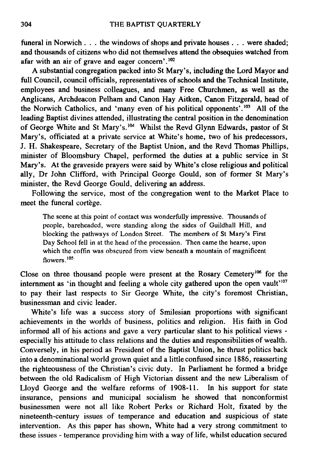funeral in Norwich . . . the windows of shops and private houses . . . were shaded; and thousands of citizens who did not themselves attend the obsequies watched from afar with an air of grave and eager concern'. $102$ 

A substantial congregation packed into St Mary's, including the Lord Mayor and full Council, council officials, representatives of schools and the Technical Institute, employees and business colleagues, and many Free Churchmen, as well as the Anglicans, Archdeacon Pelham and Canon Hay Aitken, Canon Fitzgerald, head of the Norwich Catholics, and 'many even of his political opponents'.<sup>103</sup> All of the leading Baptist divines attended, illustrating the central position in the denomination of George White and St Mary's.<sup>104</sup> Whilst the Revd Glynn Edwards, pastor of St Mary's, officiated at a private service at White's home, two of his predecessors, J. H. Shakespeare, Secretary of the Baptist Union, and the Revd Thomas Phillips, minister of Bloomsbury Chapel, performed the duties at a public service in St Mary's. At the graveside prayers were said by White's close religious and political ally, Dr John Clifford, with Principal George Gould, son of former St Mary's minister, the Revd George Gould, delivering an address.

Following the service, most of the congregation went to the Market Place to meet the funeral cortège.

The scene at this point of contact was wonderfully impressive. Thousands of people, bareheaded, were standing along the sides of Guildhall Hill, and blocking the pathways of London Street. The members of St Mary's First Day School fell in at the head of the procession. Then came the hearse, upon which the coffin was obscured from view beneath a mountain of magnificent flowers.<sup>105</sup>

Close on three thousand people were present at the Rosary Cemetery<sup>106</sup> for the internment as 'in thought and feeling a whole city gathered upon the open vault'<sup>107</sup> to pay their last respects to Sir George White, the city's foremost Christian, businessman and civic leader.

White's life was a success story of Smilesian proportions with significant achievements in the worlds of business, politics and religion. His faith in God informed all of his actions and gave a very particular slant to his political views especially his attitude to class relations and the duties and responsibilities of wealth. Conversely, in his period as President of the Baptist Union, he thrust politics back into a denominational world grown quiet and a little confused since 1886, reasserting the righteousness of the Christian's civic duty. In Parliament he formed a bridge between the old Radicalism of High Victorian dissent and the new Liberalism of Lloyd George and the welfare reforms of 1908-11. In his support for state insurance, pensions and municipal socialism he showed that nonconformist businessmen were not all like Robert Perks or Richard Holt, fixated by the nineteenth-century issues of temperance and education and suspicious of state intervention. As this paper has shown, White had a very strong commitment to these issues - temperance providing him with a way of life, whilst education secured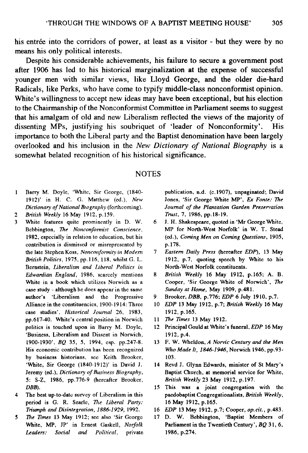his entrée into the corridors of power, at least as a visitor - but they were by no means his only political interests.

Despite his considerable achievements, his failure to secure a government post after 1906 has led to his historical marginalization at the expense of successful younger men with similar views, like Lloyd George, and the older die-hard Radicals, like Perks, who have come to typify middle-class nonconformist opinion. White's willingness to accept new ideas may have been exceptional, but his election to the Chairmanship of the Nonconformist Committee in Parliament seems to suggest that his amalgam of old and new Liberalism reflected the views of the majority of dissenting MPs, justifying his soubriquet of 'leader of Nonconformity'. His importance to both the Liberal party and the Baptist denomination have been largely overlooked and his inclusion in the *New Dictionary of National Biography* is a somewhat belated recognition of his historical significance.

#### **NOTES**

Barry M. Doyle, 'White, Sir George, (1840-  $\mathbf{1}$ 1912)' in H. C. G. Matthew (ed.), *New Dictionary of National BIOgraphy* (forthcoming).

- 3 White features quite prominently in D. W. Bebbington, The Nonconformist Conscience, 1982, especially in relation to education, but his contribution is dismissed or misrepresented by the late Stephen Koss, *Nonconformity* in *Modern British Politics,* 1975, pp.116, 118, whilst G. L. Bernstein, *Liberalism* and *Liberal Politics* in *Edwardian England,* 1986, scarcely mentions White in a book which utilizes Norwich as a case study - although he does appear in the same author's 'Liberalism and the Progressive Alliance in the constituencies, 1900-1914: Three case studies', *Historical Journal* 26, 1983, pp.617-40. White's central position in Norwich politics is touched upon in Barry M. Doyle, 'Business, Liberalism and Dissent in Norwich, *1900-1930', BQ* 35, 5, 1994, esp. pp.247-8. His economic contribution has been recognized by business historians, see Keith Brooker, 'White, Sir George (1840-1912)' in David J, Jeremy (ed.), *Dictionary of Business Biography*, 5: S-Z, 1986, pp.776-9 (hereafter Brooker, *DBB).*
- The best up-to-date survey of Liberalism in this period is G. R. Searle, *11ze Liberal Party: Triumph and Disintegratioll,* 1886-1929, 1992.
- 5 *The Times* 13 May 1912; see also 'Sir George White, MP, JP' in Ernest Gaskell, *Norfolk Leaders: Social and Political,* private

publication, n.d. (c.1907), unpaginated; David Jones, 'Sir George White MP', *Ex Fonte: 11ze Journal of the Plantation Garden Presen'ation Trust,* 7,1986, pp.18-19.

- 6 1. H. Shakespeare, quoted in 'Mr George White, MP for North-West Norfolk' in W. T. Stead (ed.), *Comillg Men on Coming QuestiollS, 1905,* p.178.
- 7 *Eastern Daily Press* (hereafter *EDP'),* 13 May 1912, p.7, quoting speech by White to his North-West Norfolk constituents.
- 8 *British Weekly* 16 May 1912, p.165; A. B. Cooper, 'Sir George White of Norwich', *11ze Sunday at Home,* May 1909, p.48J.
- 9 Brooker, *DBB,* p.776; *EDP* 6 July 1910, p.7.
- 10 *EDP* 13 May 1912, p.7; *British Weekly* 16 May 1912, p.165.
- 11 *11ze TImes* 13 May 1912.
- 12 Principal Gould at White's funeral, *EDP* 16 May 1912, p.4.
- 13 F. W. Wheldon, *A Norvic Century and the Men Who Made It,* 1846-1946, Norwich 1946, pp.93- 103.
- 14 Revd 1. Glynn Edwards, minister of St Mary's Baptist Church, at memorial service for White, *British Weekly* 23 May 1912, p.197.
- 15 This was a joint congregation with the paedobaptist Congregationalists, *British Weekly,* 16 May 1912, p.165.
- *16 EDP* 13 May 1912, p.7; Cooper, *op.cit.,* p.483.
- 17 D. W. Bebbington, 'Baptist Members of Parliament in the Twentieth Century', *BQ* 3 I, 6, 1986, p.274.

<sup>2</sup> *British Weekly* 16 May 1912, p.159.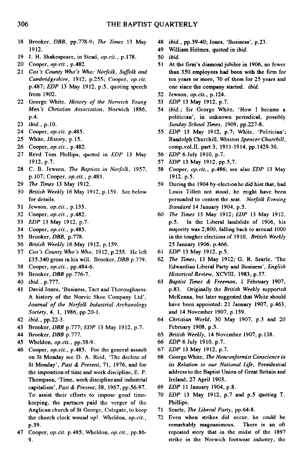- 18 Brooker, *DBB,* pp.778-9; The *TImes* 13 May 1912.
- 19 J. H. Shakespeare, in Stead, *op.cit.,* p.178.
- 20 Cooper, *op. cit.,* p.482.
- 21 *Cox's County Mo's Mo: Norfolk, Suffolk and Cambridgeshire,* 1912, p.255; Cooper, *op.cit.* p.487; *EDP* 13 May 1912, p.5, quoting speech from 1902.
- 22 George White, *History of the Nornich Young Men's Christian Association,* Norwich 1886. p.4.
- 23 *ibid.,* p.lO.
- 24 Cooper, *op.cit.* p.485.
- 25 White, *History,* p.15.
- 26 Cooper, *op. cit.,* p.482.
- 27 Revd Tom Phillips, quoted in *EDP* 13 May 1912, p.7.
- 28 C. B. Jewson, The *Baptists in Norfolk, 1957,* p.107; Cooper, *op.cit.,* p.483.
- 29 The TImes 13 May 1912.
- *30 British Weekly* 16 May 1912, p.159. See below for details.
- 31 Jewson. *op.cit.,* p.135.
- 32 Cooper, *op.cit.,* p.482.
- *33 EDP* 13 May 1912, p.7.
- 34 Cooper, *op.cit.,* p.485.
- 35 Brooker, *DBB,* p.778.
- *36 British Weekly* 16 May 1912, p.159.
- *37 Cox's County Mo's Mo,* 1912, p.255. He left £35,340 gross in his will. Brooker, *DBB* p.779.
- 38 Cooper, *op.cit.,* pp.484-6.
- 39 Brooker, *DBB* pp.776-7.
- *40 ibid .. p.777.*
- 41 David Jones, 'Business, Tact and Thoroughness: A history of the Norvic Shoe Company Ltd', *Journal of the Norfolk Industrial Archaeology Society,* 4, 1, 1986, pp.20-J.
- *42 ibid.,* pp.22-3.
- 43 Brooker, *DBB* p.777; *EDP* 13 May 1912, p.7.
- 44 Brooker, *DBB* p.777.
- 45 Wheldon, *op.cit.,* pp.38-9.
- 46 Cooper, *op.cit.,* p.485. For the general assault on St Monday see D. A. Reid, 'The decline of St Monday', *Past* & *Present,* 71, 1976, and for the imposition of time and work discipline, E. P. Thompson, 'Time, work discipline and industrial capitalism', *Past* & *Present,* 38, 1967, pp.56-97. To assist their efforts to impose good timekeeping, the partners paid the verger of the Anglican church of St George, Colegate, to keep the church clock wound up! Wheldon, *op. cit.,* p.39.
- 47 Cooper, *op.cit.* p.485; Wheldon, *op.cit.,* pp.86- 9.
- 48 *ibid.,* pp.39-40; Jones, 'Business', p.23.
- 49 William Holmes, quoted in *ibid.*
- *50 ibid.*
- 51 At the firm's diamond jubilee in 1906, no fewer than 350 employees had been with the firm for ten years or more, 70 of them for 25 years and one since the company started. *ibid.*
- 52 Jewson, *op.cit.,* p.124.
- *53 EDP* 13 May 1912, p.7.
- 54 *ibid.;* Sir George White, 'How I became a politician', in unknown periodical, possibly *Sunday School* TImes, 1909, pp.227-8.
- *55 EDP* 13 May 1912, p.7; White, 'Politician'; Randolph Churchill, *Winston Spencer Churchill,* comp.vol.lI, part 3,1911-1914, pp.1429-30.
- *56 EDP* 6 July 1910, p.7.
- *57 EDP* 13 May 1912, pp.5,7.
- 58 Cooper, *op.cit.,* p.486; see also *EDP* 13 May 1912, p.5.
- 59 During the 1904 by-election he did hint thai, had Louis Tillett not stood, he might have been persuaded to contest the seat. *Norfolk Evening Standard* 14 January 1904, p.5.
- 60 The TImes 13 May 1912; *EDP* 13 May 1912. p.5. In the Liberal landslide of 1906, his majority was 2,800, falling back to around 1000 in the tougher elections of 1910. *British Weekly* 25 January 1906, p.466.
- *61 EDP* 13 May 1912, p.5.
- 62 The TImes, 13 May 1912; G. R. Searle, 'The Edwardian Liberal Party and Business', *English Historical Review,* XCVIII, 1983, p.37.
- *63 Baptist* TImes & *Freeman,* 1 February 1907, p.83. Originally the *British Weekly* supported McKenna, but later suggested that White should have been appointed: 21 January 1907, p.463, and 14 November 1907, p.139.
- *64 Christian World,* 30 May 1907, p.3 and 20 February 1908, p.5.
- *65 British Weekly,* 14 November 1907, p.138.
- *66 EDP* 6 July 1910, p.7.
- *67 EDP* 13 May 1912, p.7.
- 68 George White, The *Nonconfonnist Conscience in its Relation to our National Life,* Presidential address to the Baptist Union of Great Britain and Ireland, 27 April 1903.
- *69 EDP* 11 January 1904, p.8.
- *70 EDP* 13 May 1912, p.7 and p.5 quoting T. Phillips.
- 71 Searle, The *Liberal Party,* pp.64-8.
- 72 Even when strikes did occur, he could be remarkably magnanimous. There is an oft repeated story that in the midst of the 1897 strike in the Norwich footwear industry, the